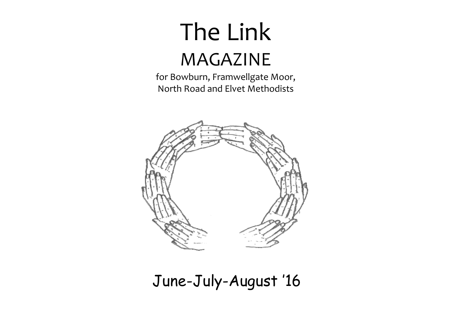# The Link MAGAZINE

for Bowburn, Framwellgate Moor, North Road and Elvet Methodists



# June-July-August '16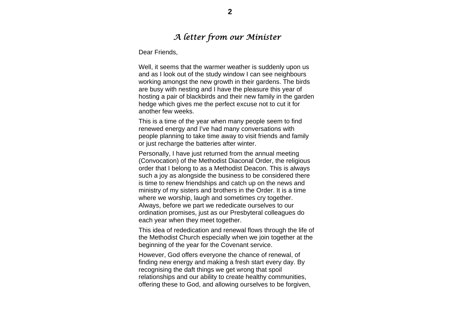# *A letter from our Minister*

Dear Friends,

Well, it seems that the warmer weather is suddenly upon us and as I look out of the study window I can see neighbours working amongst the new growth in their gardens. The birds are busy with nesting and I have the pleasure this year of hosting a pair of blackbirds and their new family in the garden hedge which gives me the perfect excuse not to cut it for another few weeks.

This is a time of the year when many people seem to find renewed energy and I've had many conversations with people planning to take time away to visit friends and family or just recharge the batteries after winter.

Personally, I have just returned from the annual meeting (Convocation) of the Methodist Diaconal Order, the religious order that I belong to as a Methodist Deacon. This is always such a joy as alongside the business to be considered there is time to renew friendships and catch up on the news and ministry of my sisters and brothers in the Order. It is a time where we worship, laugh and sometimes cry together. Always, before we part we rededicate ourselves to our ordination promises, just as our Presbyteral colleagues do each year when they meet together.

This idea of rededication and renewal flows through the life of the Methodist Church especially when we join together at the beginning of the year for the Covenant service.

However, God offers everyone the chance of renewal, of finding new energy and making a fresh start every day. By recognising the daft things we get wrong that spoil relationships and our ability to create healthy communities, offering these to God, and allowing ourselves to be forgiven,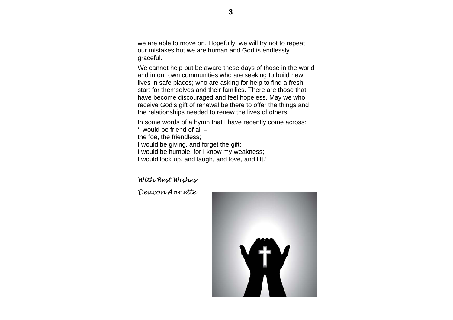we are able to move on. Hopefully, we will try not to repeat our mistakes but we are human and God is endlessly graceful.

We cannot help but be aware these days of those in the world and in our own communities who are seeking to build new lives in safe places; who are asking for help to find a fresh start for themselves and their families. There are those that have become discouraged and feel hopeless. May we who receive God's gift of renewal be there to offer the things and the relationships needed to renew the lives of others.

In some words of a hymn that I have recently come across: 'I would be friend of all –

the foe, the friendless;

I would be giving, and forget the gift;

I would be humble, for I know my weakness;

I would look up, and laugh, and love, and lift.'

*With Best Wishes*

*Deacon Annette*

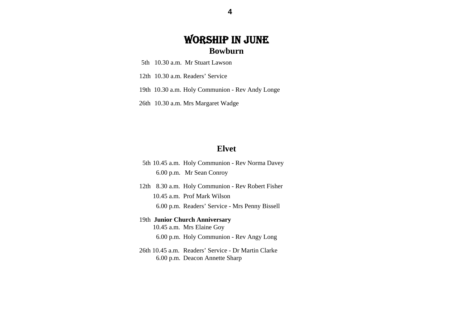# WORSHIP IN JUNE **Bowburn**

- 5th 10.30 a.m. Mr Stuart Lawson
- 12th 10.30 a.m. Readers' Service
- 19th 10.30 a.m. Holy Communion Rev Andy Longe
- 26th 10.30 a.m. Mrs Margaret Wadge

#### **Elvet**

- 5th 10.45 a.m. Holy Communion Rev Norma Davey 6.00 p.m. Mr Sean Conroy
- 12th 8.30 a.m. Holy Communion Rev Robert Fisher 10.45 a.m. Prof Mark Wilson 6.00 p.m. Readers' Service - Mrs Penny Bissell

## 19th **Junior Church Anniversary**  10.45 a.m. Mrs Elaine Goy 6.00 p.m. Holy Communion - Rev Angy Long

 26th 10.45 a.m. Readers' Service - Dr Martin Clarke 6.00 p.m. Deacon Annette Sharp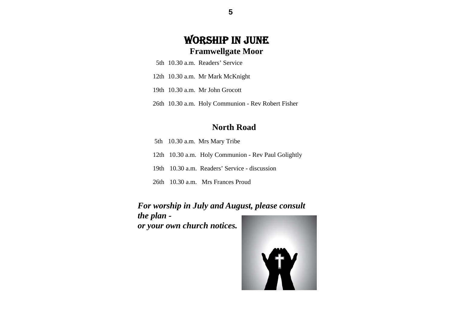# WORSHIP IN JUNE **Framwellgate Moor**

- 5th 10.30 a.m. Readers' Service
	- 12th 10.30 a.m. Mr Mark McKnight
	- 19th 10.30 a.m. Mr John Grocott
	- 26th 10.30 a.m. Holy Communion Rev Robert Fisher

# **North Road**

- 5th 10.30 a.m. Mrs Mary Tribe
- 12th 10.30 a.m. Holy Communion Rev Paul Golightly
- 19th 10.30 a.m. Readers' Service discussion
- 26th 10.30 a.m. Mrs Frances Proud

# *For worship in July and August, please consult the plan -*

*or your own church notices.* 



**5**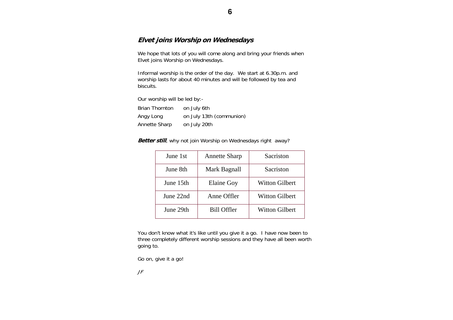#### **Elvet joins Worship on Wednesdays**

We hope that lots of you will come along and bring your friends when Elvet joins Worship on Wednesdays.

Informal worship is the order of the day. We start at 6.30p.m. and worship lasts for about 40 minutes and will be followed by tea and biscuits.

Our worship will be led by:-

| <b>Brian Thornton</b> | on July 6th              |
|-----------------------|--------------------------|
| Angy Long             | on July 13th (communion) |
| Annette Sharp         | on July 20th             |

**Better still**, why not join Worship on Wednesdays right away?

| June 1st  | <b>Annette Sharp</b> | Sacriston             |
|-----------|----------------------|-----------------------|
| June 8th  | Mark Bagnall         | Sacriston             |
| June 15th | <b>Elaine Goy</b>    | <b>Witton Gilbert</b> |
| June 22nd | Anne Offler          | <b>Witton Gilbert</b> |
| June 29th | Bill Offler          | <b>Witton Gilbert</b> |

You don't know what it's like until you give it a go. I have now been to three completely different worship sessions and they have all been worth going to.

Go on, give it a go!

JF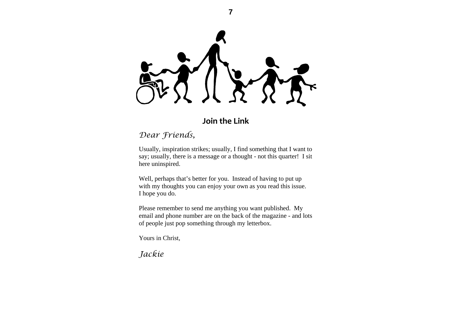**7** 

**Join the Link**

# *Dear Friends,*

Usually, inspiration strikes; usually, I find something that I want to say; usually, there is a message or a thought - not this quarter! I sit here uninspired.

Well, perhaps that's better for you. Instead of having to put up with my thoughts you can enjoy your own as you read this issue. I hope you do.

Please remember to send me anything you want published. My email and phone number are on the back of the magazine - and lots of people just pop something through my letterbox.

Yours in Christ,

*Jackie*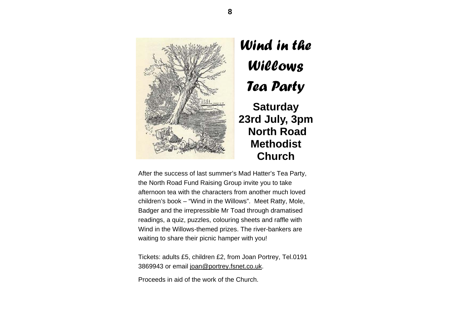

# *Wind in the Willows Tea Party*  **Saturday 23rd July, 3pm North Road**

**Methodist** 

**Church** 

After the success of last summer's Mad Hatter's Tea Party, the North Road Fund Raising Group invite you to take afternoon tea with the characters from another much loved children's book – "Wind in the Willows". Meet Ratty, Mole, Badger and the irrepressible Mr Toad through dramatised readings, a quiz, puzzles, colouring sheets and raffle with Wind in the Willows-themed prizes. The river-bankers are waiting to share their picnic hamper with you!

Tickets: adults £5, children £2, from Joan Portrey, Tel.0191 3869943 or email joan@portrey.fsnet.co.uk.

Proceeds in aid of the work of the Church.

**8**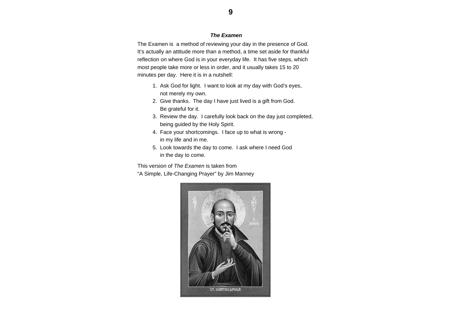#### *The Examen*

The Examen is a method of reviewing your day in the presence of God. It's actually an attitude more than a method, a time set aside for thankful reflection on where God is in your everyday life. It has five steps, which most people take more or less in order, and it usually takes 15 to 20 minutes per day. Here it is in a nutshell:

- 1. Ask God for light. I want to look at my day with God's eyes, not merely my own.
- 2. Give thanks. The day I have just lived is a gift from God. Be grateful for it.
- 3. Review the day. I carefully look back on the day just completed, being guided by the Holy Spirit.
- 4. Face your shortcomings. I face up to what is wrong in my life and in me.
- 5. Look towards the day to come. I ask where I need God in the day to come.

This version of *The Examen* is taken from

"A Simple, Life-Changing Prayer" by Jim Manney

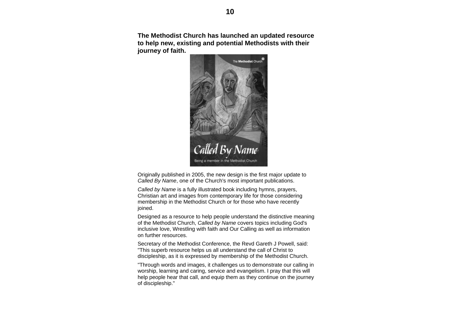**The Methodist Church has launched an updated resource to help new, existing and potential Methodists with their journey of faith.** 



Originally published in 2005, the new design is the first major update to *Called By Name*, one of the Church's most important publications.

*Called by Name* is a fully illustrated book including hymns, prayers, Christian art and images from contemporary life for those considering membership in the Methodist Church or for those who have recently ioined.

Designed as a resource to help people understand the distinctive meaning of the Methodist Church, *Called by Name* covers topics including God's inclusive love, Wrestling with faith and Our Calling as well as information on further resources.

Secretary of the Methodist Conference, the Revd Gareth J Powell, said: "This superb resource helps us all understand the call of Christ to discipleship, as it is expressed by membership of the Methodist Church.

"Through words and images, it challenges us to demonstrate our calling in worship, learning and caring, service and evangelism. I pray that this will help people hear that call, and equip them as they continue on the journey of discipleship."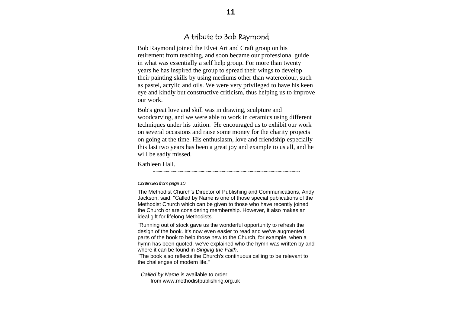# A tribute to Bob Raymond

Bob Raymond joined the Elvet Art and Craft group on his retirement from teaching, and soon became our professional guide in what was essentially a self help group. For more than twenty years he has inspired the group to spread their wings to develop their painting skills by using mediums other than watercolour, such as pastel, acrylic and oils. We were very privileged to have his keen eye and kindly but constructive criticism, thus helping us to improve our work.

Bob's great love and skill was in drawing, sculpture and woodcarving, and we were able to work in ceramics using different techniques under his tuition. He encouraged us to exhibit our work on several occasions and raise some money for the charity projects on going at the time. His enthusiasm, love and friendship especially this last two years has been a great joy and example to us all, and he will be sadly missed.

#### Kathleen Hall.

~~~~~~~~~~~~~~~~~~~~~~~~~~~~~~~~~~~~~~~~~~

#### *Continued from page 10*

The Methodist Church's Director of Publishing and Communications, Andy Jackson, said: "Called by Name is one of those special publications of the Methodist Church which can be given to those who have recently joined the Church or are considering membership. However, it also makes an ideal gift for lifelong Methodists.

"Running out of stock gave us the wonderful opportunity to refresh the design of the book. It's now even easier to read and we've augmented parts of the book to help those new to the Church, for example, when a hymn has been quoted, we've explained who the hymn was written by and where it can be found in *Singing the Faith*.

"The book also reflects the Church's continuous calling to be relevant to the challenges of modern life."

*Called by Name* is available to order from www.methodistpublishing.org.uk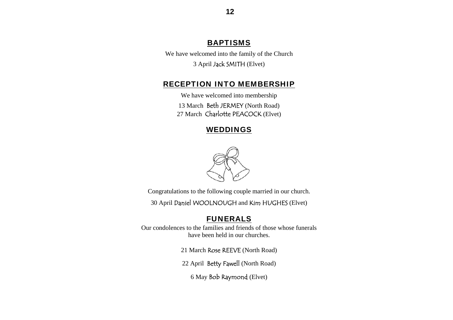# BAPTISMS

We have welcomed into the family of the Church 3 April Jack SMITH (Elvet)

## RECEPTION INTO MEMBERSHIP

We have welcomed into membership 13 March Beth JERMEY (North Road) 27 March Charlotte PEACOCK (Elvet)

#### WEDDINGS



Congratulations to the following couple married in our church.

30 April Daniel WOOLNOUGH and Kim HUGHES (Elvet)

#### FUNERALS

Our condolences to the families and friends of those whose funerals have been held in our churches.

21 March Rose REEVE (North Road)

22 April Betty Fawell (North Road)

6 May Bob Raymond (Elvet)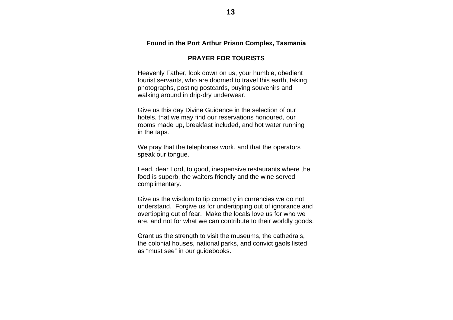#### **Found in the Port Arthur Prison Complex, Tasmania**

#### **PRAYER FOR TOURISTS**

Heavenly Father, look down on us, your humble, obedient tourist servants, who are doomed to travel this earth, taking photographs, posting postcards, buying souvenirs and walking around in drip-dry underwear.

Give us this day Divine Guidance in the selection of our hotels, that we may find our reservations honoured, our rooms made up, breakfast included, and hot water running in the taps.

We pray that the telephones work, and that the operators speak our tongue.

Lead, dear Lord, to good, inexpensive restaurants where the food is superb, the waiters friendly and the wine served complimentary.

Give us the wisdom to tip correctly in currencies we do not understand. Forgive us for undertipping out of ignorance and overtipping out of fear. Make the locals love us for who we are, and not for what we can contribute to their worldly goods.

Grant us the strength to visit the museums, the cathedrals, the colonial houses, national parks, and convict gaols listed as "must see" in our guidebooks.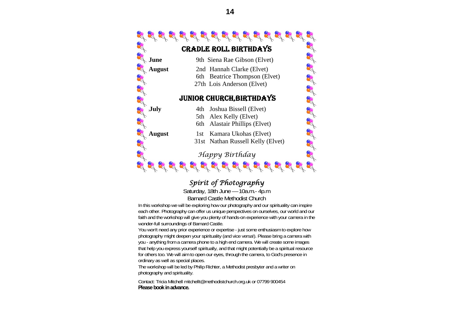

# *Spirit of Photography*

Saturday, 18th June — 10a.m.- 4p.m Barnard Castle Methodist Church

In this workshop we will be exploring how our photography and our spirituality can inspire each other. Photography can offer us unique perspectives on ourselves, our world and our faith and the workshop will give you plenty of hands-on experience with your camera in the wonder-full surroundings of Barnard Castle.

You won't need any prior experience or expertise - just some enthusiasm to explore how photography might deepen your spirituality (and vice versa!). Please bring a camera with you - anything from a camera phone to a high end camera. We will create some images that help you express yourself spiritually, and that might potentially be a spiritual resource for others too. We will aim to open our eyes, through the camera, to God's presence in ordinary as well as special places.

The workshop will be led by Philip Richter, a Methodist presbyter and a writer on photography and spirituality.

Contact: Tricia Mitchell mitchellt@methodistchurch.org.uk or 07799 900454 **Please book in advance.**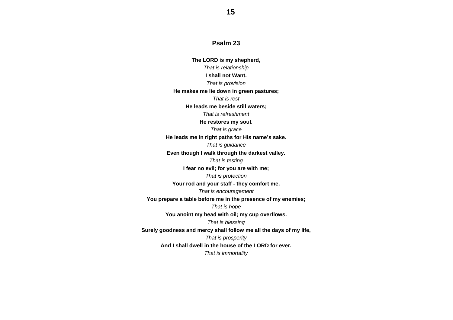#### **Psalm 23**

**The LORD is my shepherd,**  *That is relationship*  **I shall not Want.** *That is provision*  **He makes me lie down in green pastures;**  *That is rest* **He leads me beside still waters;**  *That is refreshment* **He restores my soul.**  *That is grace*  **He leads me in right paths for His name's sake.**  *That is guidance*  **Even though I walk through the darkest valley.**  *That is testing*  **I fear no evil; for you are with me;**  *That is protection*  **Your rod and your staff - they comfort me.**  *That is encouragement*  **You prepare a table before me in the presence of my enemies;**  *That is hope*  **You anoint my head with oil; my cup overflows.**  *That is blessing*  **Surely goodness and mercy shall follow me all the days of my life,**  *That is prosperity*  **And I shall dwell in the house of the LORD for ever.** *That is immortality*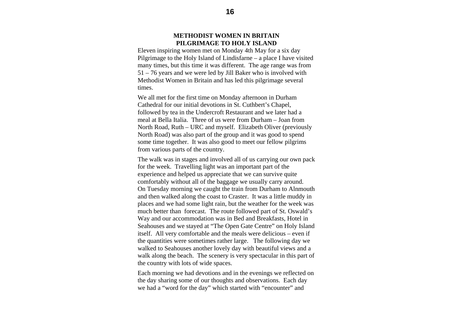#### **METHODIST WOMEN IN BRITAIN PILGRIMAGE TO HOLY ISLAND**

Eleven inspiring women met on Monday 4th May for a six day Pilgrimage to the Holy Island of Lindisfarne – a place I have visited many times, but this time it was different. The age range was from 51 – 76 years and we were led by Jill Baker who is involved with Methodist Women in Britain and has led this pilgrimage several times.

We all met for the first time on Monday afternoon in Durham Cathedral for our initial devotions in St. Cuthbert's Chapel, followed by tea in the Undercroft Restaurant and we later had a meal at Bella Italia. Three of us were from Durham – Joan from North Road, Ruth – URC and myself. Elizabeth Oliver (previously North Road) was also part of the group and it was good to spend some time together. It was also good to meet our fellow pilgrims from various parts of the country.

The walk was in stages and involved all of us carrying our own pack for the week. Travelling light was an important part of the experience and helped us appreciate that we can survive quite comfortably without all of the baggage we usually carry around. On Tuesday morning we caught the train from Durham to Alnmouth and then walked along the coast to Craster. It was a little muddy in places and we had some light rain, but the weather for the week was much better than forecast. The route followed part of St. Oswald's Way and our accommodation was in Bed and Breakfasts, Hotel in Seahouses and we stayed at "The Open Gate Centre" on Holy Island itself. All very comfortable and the meals were delicious – even if the quantities were sometimes rather large. The following day we walked to Seahouses another lovely day with beautiful views and a walk along the beach. The scenery is very spectacular in this part of the country with lots of wide spaces.

Each morning we had devotions and in the evenings we reflected on the day sharing some of our thoughts and observations. Each day we had a "word for the day" which started with "encounter" and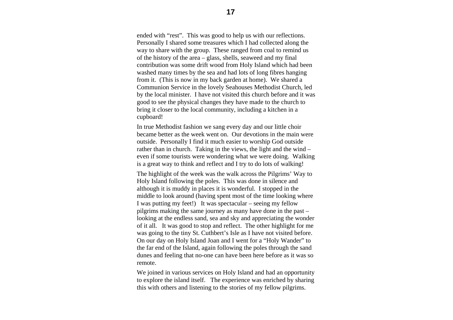ended with "rest". This was good to help us with our reflections. Personally I shared some treasures which I had collected along the way to share with the group. These ranged from coal to remind us of the history of the area – glass, shells, seaweed and my final contribution was some drift wood from Holy Island which had been washed many times by the sea and had lots of long fibres hanging from it. (This is now in my back garden at home). We shared a Communion Service in the lovely Seahouses Methodist Church, led by the local minister. I have not visited this church before and it was good to see the physical changes they have made to the church to bring it closer to the local community, including a kitchen in a cupboard!

In true Methodist fashion we sang every day and our little choir became better as the week went on. Our devotions in the main were outside. Personally I find it much easier to worship God outside rather than in church. Taking in the views, the light and the wind – even if some tourists were wondering what we were doing. Walking is a great way to think and reflect and I try to do lots of walking!

The highlight of the week was the walk across the Pilgrims' Way to Holy Island following the poles. This was done in silence and although it is muddy in places it is wonderful. I stopped in the middle to look around (having spent most of the time looking where I was putting my feet!) It was spectacular – seeing my fellow pilgrims making the same journey as many have done in the past – looking at the endless sand, sea and sky and appreciating the wonder of it all. It was good to stop and reflect. The other highlight for me was going to the tiny St. Cuthbert's Isle as I have not visited before. On our day on Holy Island Joan and I went for a "Holy Wander" to the far end of the Island, again following the poles through the sand dunes and feeling that no-one can have been here before as it was so remote.

We joined in various services on Holy Island and had an opportunity to explore the island itself. The experience was enriched by sharing this with others and listening to the stories of my fellow pilgrims.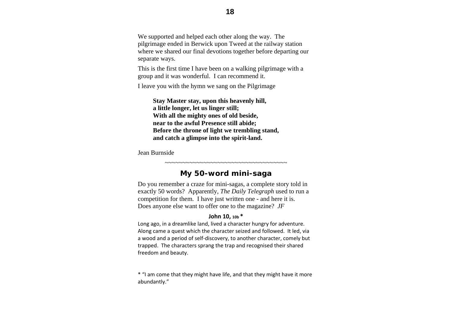We supported and helped each other along the way. The pilgrimage ended in Berwick upon Tweed at the railway station where we shared our final devotions together before departing our separate ways.

This is the first time I have been on a walking pilgrimage with a group and it was wonderful. I can recommend it.

I leave you with the hymn we sang on the Pilgrimage

 **Stay Master stay, upon this heavenly hill, a little longer, let us linger still; With all the mighty ones of old beside, near to the awful Presence still abide; Before the throne of light we trembling stand, and catch a glimpse into the spirit-land.**

Jean Burnside

#### ~~~~~~~~~~~~~~~~~~~~~~~~~~~~~~~~~~ **My 50-word mini-saga**

Do you remember a craze for mini-sagas, a complete story told in exactly 50 words? Apparently, *The Daily Telegraph* used to run a competition for them. I have just written one - and here it is. Does anyone else want to offer one to the magazine? *JF*

#### **John 10, 10b \***

Long ago, in <sup>a</sup> dreamlike land, lived <sup>a</sup> character hungry for adventure. Along came <sup>a</sup> quest which the character seized and followed. It led, via a wood and <sup>a</sup> period of self‐discovery, to another character, comely but trapped. The characters sprang the trap and recognised their shared freedom and beauty.

\* "I am come that they might have life, and that they might have it more abundantly."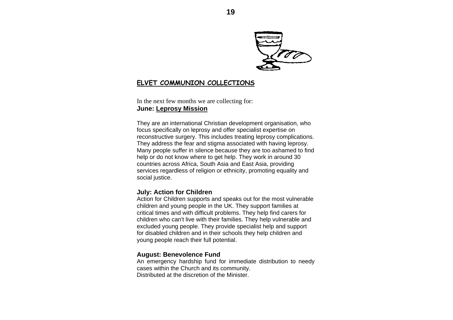

### **ELVET COMMUNION COLLECTIONS**

In the next few months we are collecting for: **June: Leprosy Mission**

They are an international Christian development organisation, who focus specifically on leprosy and offer specialist expertise on reconstructive surgery. This includes treating leprosy complications. They address the fear and stigma associated with having leprosy. Many people suffer in silence because they are too ashamed to find help or do not know where to get help. They work in around 30 countries across Africa, South Asia and East Asia, providing services regardless of religion or ethnicity, promoting equality and social justice.

#### **July: Action for Children**

Action for Children supports and speaks out for the most vulnerable children and young people in the UK. They support families at critical times and with difficult problems. They help find carers for children who can't live with their families. They help vulnerable and excluded young people. They provide specialist help and support for disabled children and in their schools they help children and young people reach their full potential.

#### **August: Benevolence Fund**

An emergency hardship fund for immediate distribution to needy cases within the Church and its community. Distributed at the discretion of the Minister.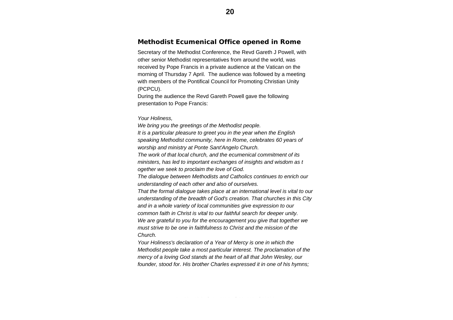#### **Methodist Ecumenical Office opened in Rome**

Secretary of the Methodist Conference, the Revd Gareth J Powell, with other senior Methodist representatives from around the world, was received by Pope Francis in a private audience at the Vatican on the morning of Thursday 7 April. The audience was followed by a meeting with members of the Pontifical Council for Promoting Christian Unity (PCPCU).

During the audience the Revd Gareth Powell gave the following presentation to Pope Francis:

*Your Holiness,* 

*We bring you the greetings of the Methodist people.* 

*It is a particular pleasure to greet you in the year when the English speaking Methodist community, here in Rome, celebrates 60 years of worship and ministry at Ponte Sant'Angelo Church.* 

*The work of that local church, and the ecumenical commitment of its ministers, has led to important exchanges of insights and wisdom as t ogether we seek to proclaim the love of God.* 

*Climation in provision increasing increding increding in the dialogue between Methodists and Catholics continues to enrich our understanding of each other and also of ourselves.*  $\frac{1}{2}$ 

That the formal dialogue takes place at an international level is vital to our understanding of the breadth of God's creation. That churches in this City and in a whole variety of local communities give expression to our common faith in Christ is vital to our faithful search for deeper unity. We are grateful to you for the encouragement you give that together we *must strive to be one in faithfulness to Christ and the mission of the*  $Church.$ 

Your Holiness's declaration of a Year of Mercy is one in which the mercy of a loving God stands at the heart of all that John Wesley, our *founder, stood for. His brother Charles expressed it in one of his hymns;* hard copy, complete with gift aid envelopes and posters. *Methodist people take a most particular interest. The proclamation of the*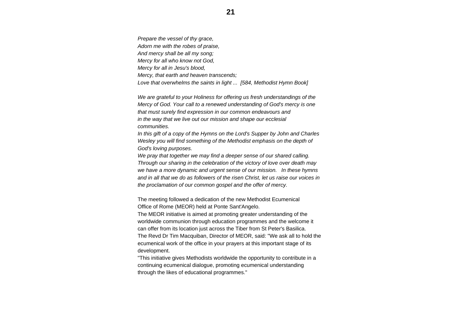*Prepare the vessel of thy grace, Adorn me with the robes of praise, And mercy shall be all my song; Mercy for all who know not God, Mercy for all in Jesu's blood, Mercy, that earth and heaven transcends; Love that overwhelms the saints in light ... [584, Methodist Hymn Book]* 

*We are grateful to your Holiness for offering us fresh understandings of the Mercy of God. Your call to a renewed understanding of God's mercy is one that must surely find expression in our common endeavours and in the way that we live out our mission and shape our ecclesial communities.* 

*In this gift of a copy of the Hymns on the Lord's Supper by John and Charles Wesley you will find something of the Methodist emphasis on the depth of God's loving purposes.* 

*We pray that together we may find a deeper sense of our shared calling. Through our sharing in the celebration of the victory of love over death may we have a more dynamic and urgent sense of our mission. In these hymns and in all that we do as followers of the risen Christ, let us raise our voices in the proclamation of our common gospel and the offer of mercy.* 

The meeting followed a dedication of the new Methodist Ecumenical Office of Rome (MEOR) held at Ponte Sant'Angelo.

The MEOR initiative is aimed at promoting greater understanding of the worldwide communion through education programmes and the welcome it can offer from its location just across the Tiber from St Peter's Basilica. The Revd Dr Tim Macquiban, Director of MEOR, said: "We ask all to hold the ecumenical work of the office in your prayers at this important stage of its development.

"This initiative gives Methodists worldwide the opportunity to contribute in a continuing ecumenical dialogue, promoting ecumenical understanding through the likes of educational programmes."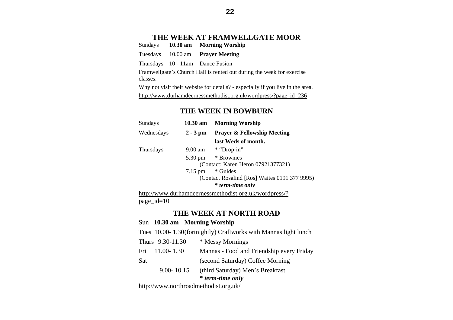# **THE WEEK AT FRAMWELLGATE MOOR**

Sundays **10.30 am Morning Worship** 

Tuesdays 10.00 am **Prayer Meeting** 

Thursdays 10 - 11am Dance Fusion

Framwellgate's Church Hall is rented out during the week for exercise classes.

Why not visit their website for details? - especially if you live in the area. http://www.durhamdeernessmethodist.org.uk/wordpress/?page\_id=236

#### **THE WEEK IN BOWBURN**

| Sundays    | $10.30 \text{ am}$ | <b>Morning Worship</b>                        |
|------------|--------------------|-----------------------------------------------|
| Wednesdays | $2 - 3$ pm         | <b>Prayer &amp; Fellowship Meeting</b>        |
|            |                    | last Weds of month.                           |
| Thursdays  | 9.00 am            | * "Drop-in"                                   |
|            | 5.30 pm            | * Brownies                                    |
|            |                    | (Contact: Karen Heron 07921377321)            |
|            | $7.15 \text{ pm}$  | * Guides                                      |
|            |                    | (Contact Rosalind [Ros] Waites 0191 377 9995) |
|            |                    | * term-time only                              |

http://www.durhamdeernessmethodist.org.uk/wordpress/? page\_id=10

#### **THE WEEK AT NORTH ROAD**

#### Sun **10.30 am Morning Worship**

|                                       | Tues 10.00-1.30(fortnightly) Craftworks with Mannas light lunch |  |
|---------------------------------------|-----------------------------------------------------------------|--|
| Thurs 9.30-11.30                      | * Messy Mornings                                                |  |
| $11.00 - 1.30$<br>Fri                 | Mannas - Food and Friendship every Friday                       |  |
| Sat                                   | (second Saturday) Coffee Morning                                |  |
| $9.00 - 10.15$                        | (third Saturday) Men's Breakfast                                |  |
|                                       | <i>*</i> term-time only                                         |  |
| http://www.northroadmethodist.org.uk/ |                                                                 |  |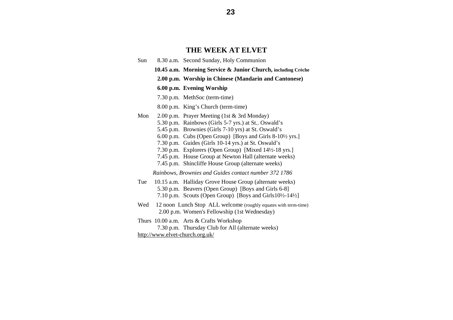#### **THE WEEK AT ELVET**

- Sun 8.30 a.m. Second Sunday, Holy Communion
	- **10.45 a.m. Morning Service & Junior Church, including Crèche** 
		- **2.00 p.m. Worship in Chinese (Mandarin and Cantonese)**

#### **6.00 p.m. Evening Worship**

- 7.30 p.m. MethSoc (term-time)
- 8.00 p.m. King's Church (term-time)
- Mon 2.00 p.m. Prayer Meeting (1st & 3rd Monday) 5.30 p.m. Rainbows (Girls 5-7 yrs.) at St.. Oswald's
	- 5.45 p.m. Brownies (Girls 7-10 yrs) at St. Oswald's
	-
	- 6.00 p.m. Cubs (Open Group) [Boys and Girls 8-10½ yrs.]
	- 7.30 p.m. Guides (Girls 10-14 yrs.) at St. Oswald's
	- 7.30 p.m. Explorers (Open Group) [Mixed 14½-18 yrs.]
	- 7.45 p.m. House Group at Newton Hall (alternate weeks)
	- 7.45 p.m. Shincliffe House Group (alternate weeks)

*Rainbows, Brownies and Guides contact number 372 1786*

- Tue 10.15 a.m. Halliday Grove House Group (alternate weeks) 5.30 p.m. Beavers (Open Group) [Boys and Girls 6-8] 7.10 p.m. Scouts (Open Group) [Boys and Girls10½-14½]
- Wed 12 noon Lunch Stop ALL welcome (roughly equates with term-time) 2.00 p.m. Women's Fellowship (1st Wednesday)
- Thurs 10.00 a.m. Arts & Crafts Workshop 7.30 p.m. Thursday Club for All (alternate weeks) http://www.elvet-church.org.uk/